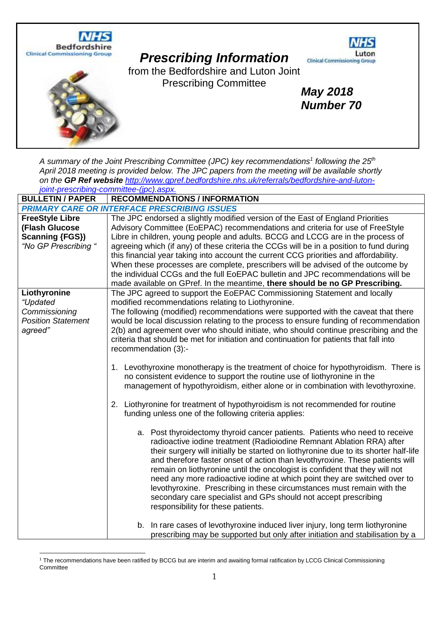

## *Prescribing Information*



from the Bedfordshire and Luton Joint Prescribing Committee



*May 2018 Number 70*

*A summary of the Joint Prescribing Committee (JPC) key recommendations<sup>1</sup> following the 25th April 2018 meeting is provided below. The JPC papers from the meeting will be available shortly on the GP Ref website [http://www.gpref.bedfordshire.nhs.uk/referrals/bedfordshire-and-luton](http://www.gpref.bedfordshire.nhs.uk/referrals/bedfordshire-and-luton-joint-prescribing-committee-(jpc).aspx)[joint-prescribing-committee-\(jpc\).aspx.](http://www.gpref.bedfordshire.nhs.uk/referrals/bedfordshire-and-luton-joint-prescribing-committee-(jpc).aspx)* 

| <b>BULLETIN / PAPER</b>   | <b>RECOMMENDATIONS / INFORMATION</b>                                                                                                                             |
|---------------------------|------------------------------------------------------------------------------------------------------------------------------------------------------------------|
|                           | <b>PRIMARY CARE OR INTERFACE PRESCRIBING ISSUES</b>                                                                                                              |
| <b>FreeStyle Libre</b>    | The JPC endorsed a slightly modified version of the East of England Priorities                                                                                   |
| (Flash Glucose            | Advisory Committee (EoEPAC) recommendations and criteria for use of FreeStyle                                                                                    |
| <b>Scanning {FGS})</b>    | Libre in children, young people and adults. BCCG and LCCG are in the process of                                                                                  |
| "No GP Prescribing "      | agreeing which (if any) of these criteria the CCGs will be in a position to fund during                                                                          |
|                           | this financial year taking into account the current CCG priorities and affordability.                                                                            |
|                           | When these processes are complete, prescribers will be advised of the outcome by                                                                                 |
|                           | the individual CCGs and the full EoEPAC bulletin and JPC recommendations will be                                                                                 |
|                           | made available on GPref. In the meantime, there should be no GP Prescribing.                                                                                     |
| Liothyronine              | The JPC agreed to support the EoEPAC Commissioning Statement and locally                                                                                         |
| "Updated                  | modified recommendations relating to Liothyronine.                                                                                                               |
| Commissioning             | The following (modified) recommendations were supported with the caveat that there                                                                               |
| <b>Position Statement</b> | would be local discussion relating to the process to ensure funding of recommendation                                                                            |
| agreed"                   | 2(b) and agreement over who should initiate, who should continue prescribing and the                                                                             |
|                           | criteria that should be met for initiation and continuation for patients that fall into                                                                          |
|                           | recommendation (3):-                                                                                                                                             |
|                           |                                                                                                                                                                  |
|                           | 1. Levothyroxine monotherapy is the treatment of choice for hypothyroidism. There is<br>no consistent evidence to support the routine use of liothyronine in the |
|                           | management of hypothyroidism, either alone or in combination with levothyroxine.                                                                                 |
|                           |                                                                                                                                                                  |
|                           | 2. Liothyronine for treatment of hypothyroidism is not recommended for routine                                                                                   |
|                           | funding unless one of the following criteria applies:                                                                                                            |
|                           |                                                                                                                                                                  |
|                           | a. Post thyroidectomy thyroid cancer patients. Patients who need to receive                                                                                      |
|                           | radioactive iodine treatment (Radioiodine Remnant Ablation RRA) after                                                                                            |
|                           | their surgery will initially be started on liothyronine due to its shorter half-life                                                                             |
|                           | and therefore faster onset of action than levothyroxine. These patients will                                                                                     |
|                           | remain on liothyronine until the oncologist is confident that they will not                                                                                      |
|                           | need any more radioactive iodine at which point they are switched over to                                                                                        |
|                           | levothyroxine. Prescribing in these circumstances must remain with the                                                                                           |
|                           | secondary care specialist and GPs should not accept prescribing                                                                                                  |
|                           | responsibility for these patients.                                                                                                                               |
|                           |                                                                                                                                                                  |
|                           | b. In rare cases of levothyroxine induced liver injury, long term liothyronine                                                                                   |
|                           | prescribing may be supported but only after initiation and stabilisation by a                                                                                    |

 <sup>1</sup> The recommendations have been ratified by BCCG but are interim and awaiting formal ratification by LCCG Clinical Commissioning **Committee**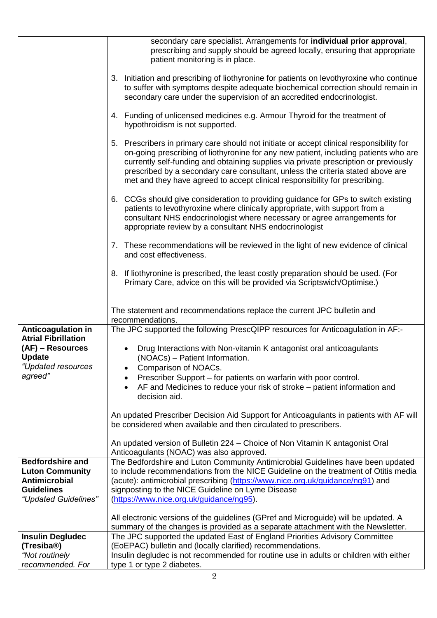|                                                                                              | secondary care specialist. Arrangements for individual prior approval,<br>prescribing and supply should be agreed locally, ensuring that appropriate<br>patient monitoring is in place.                                                                                                                                                                                                                                                    |
|----------------------------------------------------------------------------------------------|--------------------------------------------------------------------------------------------------------------------------------------------------------------------------------------------------------------------------------------------------------------------------------------------------------------------------------------------------------------------------------------------------------------------------------------------|
|                                                                                              | 3. Initiation and prescribing of liothyronine for patients on levothyroxine who continue<br>to suffer with symptoms despite adequate biochemical correction should remain in<br>secondary care under the supervision of an accredited endocrinologist.                                                                                                                                                                                     |
|                                                                                              | 4. Funding of unlicensed medicines e.g. Armour Thyroid for the treatment of<br>hypothroidism is not supported.                                                                                                                                                                                                                                                                                                                             |
|                                                                                              | 5. Prescribers in primary care should not initiate or accept clinical responsibility for<br>on-going prescribing of liothyronine for any new patient, including patients who are<br>currently self-funding and obtaining supplies via private prescription or previously<br>prescribed by a secondary care consultant, unless the criteria stated above are<br>met and they have agreed to accept clinical responsibility for prescribing. |
|                                                                                              | 6. CCGs should give consideration to providing guidance for GPs to switch existing<br>patients to levothyroxine where clinically appropriate, with support from a<br>consultant NHS endocrinologist where necessary or agree arrangements for<br>appropriate review by a consultant NHS endocrinologist                                                                                                                                    |
|                                                                                              | 7. These recommendations will be reviewed in the light of new evidence of clinical<br>and cost effectiveness.                                                                                                                                                                                                                                                                                                                              |
|                                                                                              | 8. If liothyronine is prescribed, the least costly preparation should be used. (For<br>Primary Care, advice on this will be provided via Scriptswich/Optimise.)                                                                                                                                                                                                                                                                            |
|                                                                                              | The statement and recommendations replace the current JPC bulletin and<br>recommendations.                                                                                                                                                                                                                                                                                                                                                 |
| <b>Anticoagulation in</b><br><b>Atrial Fibrillation</b><br>(AF) – Resources<br><b>Update</b> | The JPC supported the following PrescQIPP resources for Anticoagulation in AF:-<br>Drug Interactions with Non-vitamin K antagonist oral anticoagulants<br>(NOACs) - Patient Information.                                                                                                                                                                                                                                                   |
| "Updated resources                                                                           | Comparison of NOACs.<br>٠                                                                                                                                                                                                                                                                                                                                                                                                                  |
| agreed"                                                                                      | Prescriber Support – for patients on warfarin with poor control.<br>$\bullet$                                                                                                                                                                                                                                                                                                                                                              |
|                                                                                              | AF and Medicines to reduce your risk of stroke – patient information and<br>$\bullet$<br>decision aid.                                                                                                                                                                                                                                                                                                                                     |
|                                                                                              | An updated Prescriber Decision Aid Support for Anticoagulants in patients with AF will<br>be considered when available and then circulated to prescribers.                                                                                                                                                                                                                                                                                 |
|                                                                                              | An updated version of Bulletin 224 – Choice of Non Vitamin K antagonist Oral<br>Anticoagulants (NOAC) was also approved.                                                                                                                                                                                                                                                                                                                   |
| <b>Bedfordshire and</b>                                                                      | The Bedfordshire and Luton Community Antimicrobial Guidelines have been updated                                                                                                                                                                                                                                                                                                                                                            |
| <b>Luton Community</b>                                                                       | to include recommendations from the NICE Guideline on the treatment of Otitis media                                                                                                                                                                                                                                                                                                                                                        |
| Antimicrobial                                                                                | (acute): antimicrobial prescribing (https://www.nice.org.uk/guidance/ng91) and                                                                                                                                                                                                                                                                                                                                                             |
| <b>Guidelines</b><br>"Updated Guidelines"                                                    | signposting to the NICE Guideline on Lyme Disease<br>(https://www.nice.org.uk/guidance/ng95).                                                                                                                                                                                                                                                                                                                                              |
|                                                                                              | All electronic versions of the guidelines (GPref and Microguide) will be updated. A<br>summary of the changes is provided as a separate attachment with the Newsletter.                                                                                                                                                                                                                                                                    |
| <b>Insulin Degludec</b>                                                                      | The JPC supported the updated East of England Priorities Advisory Committee                                                                                                                                                                                                                                                                                                                                                                |
| (Tresiba <sup>®</sup> )                                                                      | (EoEPAC) bulletin and (locally clarified) recommendations.                                                                                                                                                                                                                                                                                                                                                                                 |
| "Not routinely                                                                               | Insulin degludec is not recommended for routine use in adults or children with either                                                                                                                                                                                                                                                                                                                                                      |
| recommended. For                                                                             | type 1 or type 2 diabetes.                                                                                                                                                                                                                                                                                                                                                                                                                 |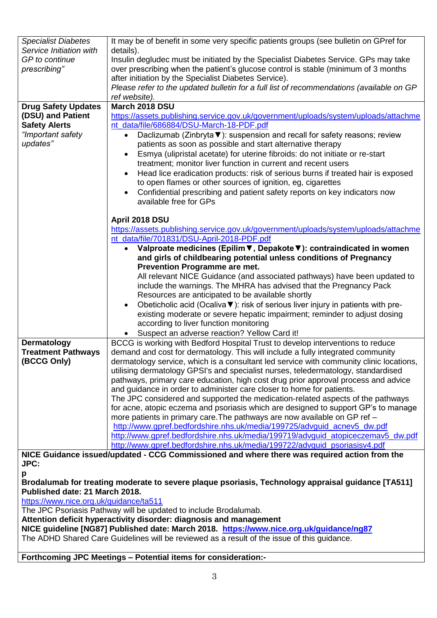| <b>Specialist Diabetes</b><br>Service Initiation with<br>GP to continue<br>prescribing" | It may be of benefit in some very specific patients groups (see bulletin on GPref for<br>details).<br>Insulin degludec must be initiated by the Specialist Diabetes Service. GPs may take<br>over prescribing when the patient's glucose control is stable (minimum of 3 months<br>after initiation by the Specialist Diabetes Service). |
|-----------------------------------------------------------------------------------------|------------------------------------------------------------------------------------------------------------------------------------------------------------------------------------------------------------------------------------------------------------------------------------------------------------------------------------------|
|                                                                                         | Please refer to the updated bulletin for a full list of recommendations (available on GP<br>ref website).                                                                                                                                                                                                                                |
| <b>Drug Safety Updates</b>                                                              | March 2018 DSU                                                                                                                                                                                                                                                                                                                           |
| (DSU) and Patient                                                                       | https://assets.publishing.service.gov.uk/government/uploads/system/uploads/attachme                                                                                                                                                                                                                                                      |
| <b>Safety Alerts</b>                                                                    | nt data/file/686884/DSU-March-18-PDF.pdf                                                                                                                                                                                                                                                                                                 |
| "Important safety                                                                       | Daclizumab (Zinbryta V): suspension and recall for safety reasons; review<br>$\bullet$                                                                                                                                                                                                                                                   |
| updates"                                                                                | patients as soon as possible and start alternative therapy                                                                                                                                                                                                                                                                               |
|                                                                                         |                                                                                                                                                                                                                                                                                                                                          |
|                                                                                         | Esmya (ulipristal acetate) for uterine fibroids: do not initiate or re-start<br>$\bullet$                                                                                                                                                                                                                                                |
|                                                                                         | treatment; monitor liver function in current and recent users                                                                                                                                                                                                                                                                            |
|                                                                                         | Head lice eradication products: risk of serious burns if treated hair is exposed                                                                                                                                                                                                                                                         |
|                                                                                         | to open flames or other sources of ignition, eg, cigarettes                                                                                                                                                                                                                                                                              |
|                                                                                         | Confidential prescribing and patient safety reports on key indicators now                                                                                                                                                                                                                                                                |
|                                                                                         | available free for GPs                                                                                                                                                                                                                                                                                                                   |
|                                                                                         |                                                                                                                                                                                                                                                                                                                                          |
|                                                                                         | April 2018 DSU                                                                                                                                                                                                                                                                                                                           |
|                                                                                         | https://assets.publishing.service.gov.uk/government/uploads/system/uploads/attachme                                                                                                                                                                                                                                                      |
|                                                                                         | nt_data/file/701831/DSU-April-2018-PDF.pdf                                                                                                                                                                                                                                                                                               |
|                                                                                         | Valproate medicines (Epilim V, Depakote V): contraindicated in women                                                                                                                                                                                                                                                                     |
|                                                                                         | and girls of childbearing potential unless conditions of Pregnancy                                                                                                                                                                                                                                                                       |
|                                                                                         | <b>Prevention Programme are met.</b>                                                                                                                                                                                                                                                                                                     |
|                                                                                         | All relevant NICE Guidance (and associated pathways) have been updated to                                                                                                                                                                                                                                                                |
|                                                                                         | include the warnings. The MHRA has advised that the Pregnancy Pack                                                                                                                                                                                                                                                                       |
|                                                                                         | Resources are anticipated to be available shortly                                                                                                                                                                                                                                                                                        |
|                                                                                         | Obeticholic acid (Ocaliva V): risk of serious liver injury in patients with pre-<br>$\bullet$                                                                                                                                                                                                                                            |
|                                                                                         | existing moderate or severe hepatic impairment; reminder to adjust dosing                                                                                                                                                                                                                                                                |
|                                                                                         | according to liver function monitoring                                                                                                                                                                                                                                                                                                   |
|                                                                                         | Suspect an adverse reaction? Yellow Card it!                                                                                                                                                                                                                                                                                             |
| Dermatology                                                                             | BCCG is working with Bedford Hospital Trust to develop interventions to reduce                                                                                                                                                                                                                                                           |
| <b>Treatment Pathways</b>                                                               | demand and cost for dermatology. This will include a fully integrated community                                                                                                                                                                                                                                                          |
| (BCCG Only)                                                                             | dermatology service, which is a consultant led service with community clinic locations,                                                                                                                                                                                                                                                  |
|                                                                                         | utilising dermatology GPSI's and specialist nurses, teledermatology, standardised                                                                                                                                                                                                                                                        |
|                                                                                         | pathways, primary care education, high cost drug prior approval process and advice                                                                                                                                                                                                                                                       |
|                                                                                         | and guidance in order to administer care closer to home for patients.                                                                                                                                                                                                                                                                    |
|                                                                                         | The JPC considered and supported the medication-related aspects of the pathways                                                                                                                                                                                                                                                          |
|                                                                                         | for acne, atopic eczema and psoriasis which are designed to support GP's to manage                                                                                                                                                                                                                                                       |
|                                                                                         | more patients in primary care. The pathways are now available on GP ref -                                                                                                                                                                                                                                                                |
|                                                                                         | http://www.gpref.bedfordshire.nhs.uk/media/199725/advguid_acnev5_dw.pdf                                                                                                                                                                                                                                                                  |
|                                                                                         | http://www.gpref.bedfordshire.nhs.uk/media/199719/advguid_atopiceczemav5_dw.pdf                                                                                                                                                                                                                                                          |
|                                                                                         | http://www.gpref.bedfordshire.nhs.uk/media/199722/advguid_psoriasisv4.pdf                                                                                                                                                                                                                                                                |
|                                                                                         |                                                                                                                                                                                                                                                                                                                                          |

**NICE Guidance issued/updated - CCG Commissioned and where there was required action from the JPC:**

**p**

**Brodalumab for treating moderate to severe plaque psoriasis, Technology appraisal guidance [TA511] Published date: 21 March 2018.**

<https://www.nice.org.uk/guidance/ta511>

The JPC Psoriasis Pathway will be updated to include Brodalumab.

**Attention deficit hyperactivity disorder: diagnosis and management**

**NICE guideline [NG87] Published date: March 2018. <https://www.nice.org.uk/guidance/ng87>** The ADHD Shared Care Guidelines will be reviewed as a result of the issue of this guidance.

## **Forthcoming JPC Meetings – Potential items for consideration:-**